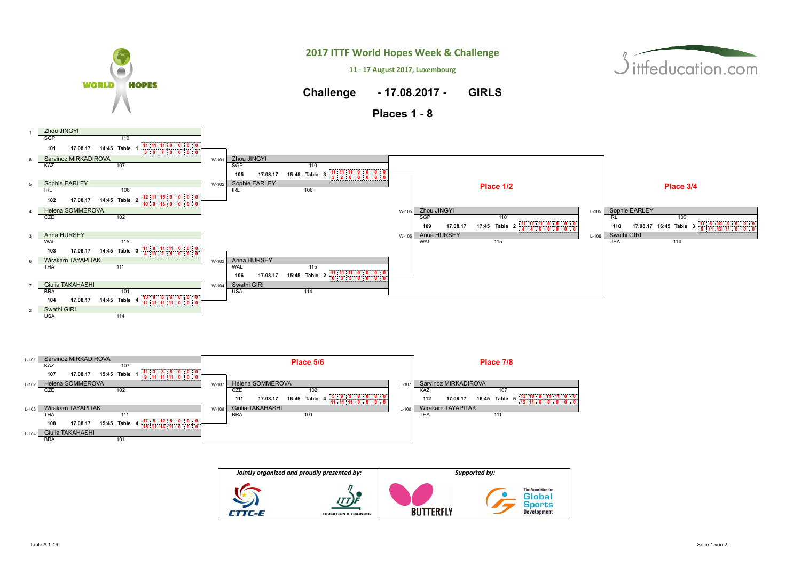







ittfeducation.com